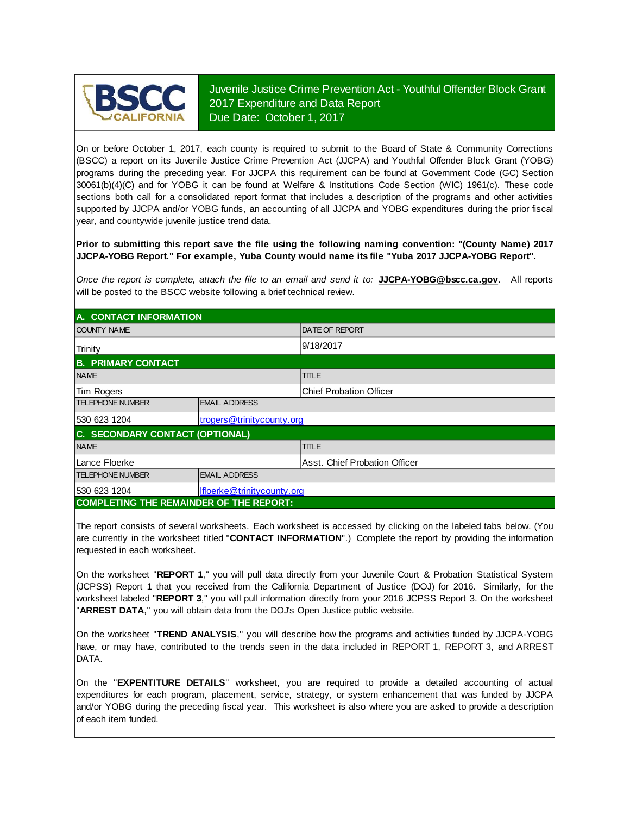

Juvenile Justice Crime Prevention Act - Youthful Offender Block Grant 2017 Expenditure and Data Report Due Date: October 1, 2017

On or before October 1, 2017, each county is required to submit to the Board of State & Community Corrections (BSCC) <sup>a</sup> report on its Juvenile Justice Crime Prevention Act (JJCPA) and Youthful Offender Block Grant (YOBG) programs during the preceding year. For JJCPA this requirement can be found at Government Code (GC) Section 30061(b)(4)(C) and for YOBG it can be found at Welfare & Institutions Code Section (WIC) 1961(c). These code sections both call for <sup>a</sup> consolidated report format that includes <sup>a</sup> description of the programs and other activities supported by JJCPA and/or YOBG funds, an accounting of all JJCPA and YOBG expenditures during the prior fiscal year, and countywide juvenile justice trend data.

**Prior to submitting this report save the file using the following naming convention: "(County Name) 2017 JJCPA-YOBG Report." For example, Yuba County would name its file "Yuba 2017 JJCPA-YOBG Report".**

*Once the report is complete, attach the file t o an email and send it to:* **JJCPA-YOBG@bscc.ca.gov**. All reports will be posted to the BSCC website following a brief technical review.

| A. CONTACT INFORMATION                         |                            |                                |  |  |  |
|------------------------------------------------|----------------------------|--------------------------------|--|--|--|
| <b>COUNTY NAME</b>                             |                            | <b>DATE OF REPORT</b>          |  |  |  |
| Trinity                                        |                            | 9/18/2017                      |  |  |  |
| <b>B. PRIMARY CONTACT</b>                      |                            |                                |  |  |  |
| <b>NAME</b>                                    |                            | <b>TITLE</b>                   |  |  |  |
| Tim Rogers                                     |                            | <b>Chief Probation Officer</b> |  |  |  |
| <b>TELEPHONE NUMBER</b>                        | <b>EMAIL ADDRESS</b>       |                                |  |  |  |
| 530 623 1204<br>trogers@trinitycounty.org      |                            |                                |  |  |  |
| C. SECONDARY CONTACT (OPTIONAL)                |                            |                                |  |  |  |
| <b>NAME</b>                                    |                            | <b>TITLE</b>                   |  |  |  |
| Lance Floerke                                  |                            | lAsst. Chief Probation Officer |  |  |  |
| <b>TELEPHONE NUMBER</b>                        | <b>EMAIL ADDRESS</b>       |                                |  |  |  |
| 530 623 1204                                   | Ifloerke@trinitycounty.org |                                |  |  |  |
| <b>COMPLETING THE REMAINDER OF THE REPORT:</b> |                            |                                |  |  |  |

The report consists of several worksheets. Each worksheet is accessed by clicking on the labeled tabs below. (You are currently in the worksheet titled "**CONTACT INFORMATION**".) Complete the report by providing the information requested in each worksheet.

On the worksheet "**REPORT 1**, " you will pull data directly from your Juvenile Court & Probation Statistical System (JCPSS) Report 1 that you received from the California Department of Justice (DOJ) for 2016. Similarly, for the worksheet labeled "REPORT 3," you will pull information directly from your 2016 JCPSS Report 3. On the worksheet "**ARREST DATA**," you will obtain data from the DOJ's Open Justice public website.

On the worksheet "**TREND ANALYSIS**, " you will describe how the programs and activities funded by JJCPA-YOBG have, or may have, contributed to the trends seen in the data included in REPORT 1, REPORT 3, and ARREST DATA.

On the "EXPENTITURE DETAILS" worksheet, you are required to provide a detailed accounting of actual expenditures for each program, placement, service, strategy, or system enhancement that was funded by JJCPA and/or YOBG during the preceding fiscal year. This worksheet is also where you are asked to provide a description of each item funded.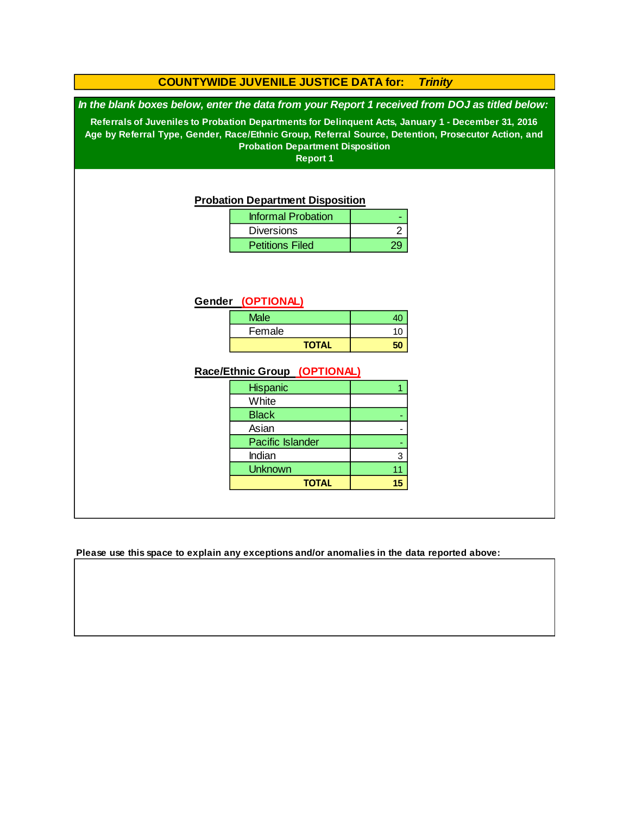### **COUNTYWIDE JUVENILE JUSTICE DATA for:** *Trinity*

*In the blank boxes below, enter the data from your Report 1 received from DOJ as titled below:*

**Referrals of Juveniles to Probation Departments for Delinquent Acts, January 1 - December 31, 2016 Age by Referral Type, Gender, Race/Ethnic Group, Referral Source, Detention, Prosecutor Action, and Probation Department Disposition**

**Report 1**

#### **Probation Department Disposition**

| <b>Informal Probation</b> |  |
|---------------------------|--|
| <b>Diversions</b>         |  |
| <b>Petitions Filed</b>    |  |

#### **Gender (OPTIONAL)**

| <b>Male</b> |    |
|-------------|----|
| Female      | 10 |
| ΤΩΤΔΙ       |    |

#### **Race/Ethnic Group (OPTIONAL)**

| <b>Hispanic</b>  |    |
|------------------|----|
| White            |    |
| <b>Black</b>     |    |
| Asian            |    |
| Pacific Islander |    |
| Indian           | 3  |
| <b>Unknown</b>   | 11 |
| <b>TOTAL</b>     |    |

**Please use this space to explain any exceptions and/or anomalies in the data reported above:**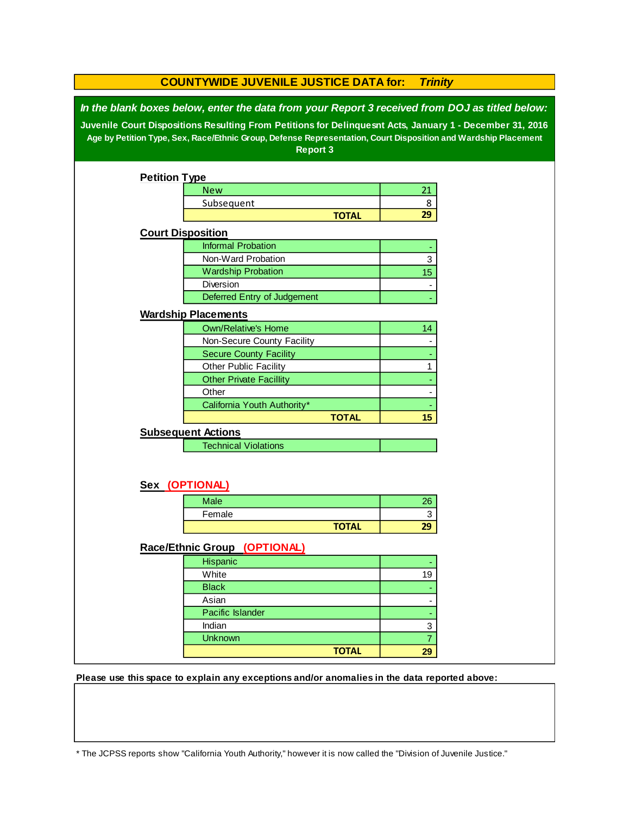| <b>COUNTYWIDE JUVENILE JUSTICE DATA for:</b><br><b>Trinity</b>                                                                                                                                                                                                                                                                                  |                                |              |                |  |  |
|-------------------------------------------------------------------------------------------------------------------------------------------------------------------------------------------------------------------------------------------------------------------------------------------------------------------------------------------------|--------------------------------|--------------|----------------|--|--|
| In the blank boxes below, enter the data from your Report 3 received from DOJ as titled below:<br>Juvenile Court Dispositions Resulting From Petitions for Delinquesnt Acts, January 1 - December 31, 2016<br>Age by Petition Type, Sex, Race/Ethnic Group, Defense Representation, Court Disposition and Wardship Placement<br><b>Report 3</b> |                                |              |                |  |  |
| <b>Petition Type</b>                                                                                                                                                                                                                                                                                                                            |                                |              |                |  |  |
|                                                                                                                                                                                                                                                                                                                                                 | <b>New</b>                     |              | 21             |  |  |
|                                                                                                                                                                                                                                                                                                                                                 | Subsequent                     |              | 8              |  |  |
|                                                                                                                                                                                                                                                                                                                                                 |                                | <b>TOTAL</b> | 29             |  |  |
|                                                                                                                                                                                                                                                                                                                                                 | <b>Court Disposition</b>       |              |                |  |  |
|                                                                                                                                                                                                                                                                                                                                                 | <b>Informal Probation</b>      |              |                |  |  |
|                                                                                                                                                                                                                                                                                                                                                 | Non-Ward Probation             |              | 3              |  |  |
|                                                                                                                                                                                                                                                                                                                                                 | <b>Wardship Probation</b>      |              | 15             |  |  |
|                                                                                                                                                                                                                                                                                                                                                 | Diversion                      |              |                |  |  |
|                                                                                                                                                                                                                                                                                                                                                 | Deferred Entry of Judgement    |              |                |  |  |
|                                                                                                                                                                                                                                                                                                                                                 | <b>Wardship Placements</b>     |              |                |  |  |
|                                                                                                                                                                                                                                                                                                                                                 | <b>Own/Relative's Home</b>     |              | 14             |  |  |
|                                                                                                                                                                                                                                                                                                                                                 | Non-Secure County Facility     |              |                |  |  |
|                                                                                                                                                                                                                                                                                                                                                 | <b>Secure County Facility</b>  |              |                |  |  |
|                                                                                                                                                                                                                                                                                                                                                 | Other Public Facility          |              | 1              |  |  |
|                                                                                                                                                                                                                                                                                                                                                 | <b>Other Private Facillity</b> |              |                |  |  |
|                                                                                                                                                                                                                                                                                                                                                 | Other                          |              |                |  |  |
|                                                                                                                                                                                                                                                                                                                                                 | California Youth Authority*    |              |                |  |  |
|                                                                                                                                                                                                                                                                                                                                                 |                                | <b>TOTAL</b> | 15             |  |  |
|                                                                                                                                                                                                                                                                                                                                                 | <b>Subsequent Actions</b>      |              |                |  |  |
|                                                                                                                                                                                                                                                                                                                                                 | <b>Technical Violations</b>    |              |                |  |  |
|                                                                                                                                                                                                                                                                                                                                                 |                                |              |                |  |  |
| Sex (OPTIONAL)                                                                                                                                                                                                                                                                                                                                  |                                |              |                |  |  |
|                                                                                                                                                                                                                                                                                                                                                 | <b>Male</b>                    |              | 26             |  |  |
|                                                                                                                                                                                                                                                                                                                                                 | Female                         |              | 3              |  |  |
|                                                                                                                                                                                                                                                                                                                                                 |                                | <b>TOTAL</b> | 29             |  |  |
|                                                                                                                                                                                                                                                                                                                                                 | Race/Ethnic Group (OPTIONAL)   |              |                |  |  |
|                                                                                                                                                                                                                                                                                                                                                 | Hispanic                       |              |                |  |  |
|                                                                                                                                                                                                                                                                                                                                                 | White                          |              | 19             |  |  |
|                                                                                                                                                                                                                                                                                                                                                 | <b>Black</b>                   |              |                |  |  |
|                                                                                                                                                                                                                                                                                                                                                 | Asian                          |              |                |  |  |
|                                                                                                                                                                                                                                                                                                                                                 | Pacific Islander               |              |                |  |  |
|                                                                                                                                                                                                                                                                                                                                                 | Indian                         |              | 3              |  |  |
|                                                                                                                                                                                                                                                                                                                                                 | <b>Unknown</b>                 |              | $\overline{7}$ |  |  |
|                                                                                                                                                                                                                                                                                                                                                 |                                | <b>TOTAL</b> | 29             |  |  |

**Please use this space to explain any exceptions and/or anomalies in the data reported above:** 

\* The JCPSS reports show "California Youth Authority," however it is now called the "Division of Juvenile Justice."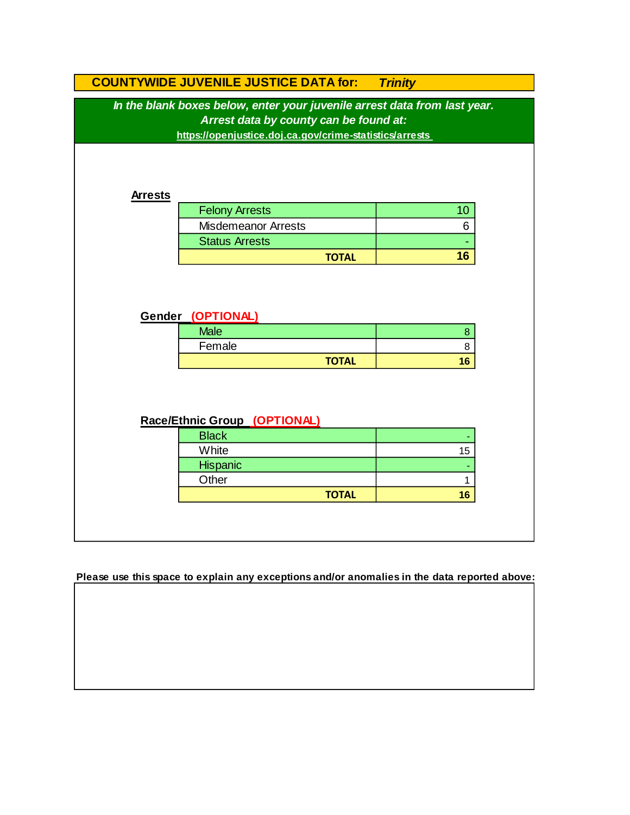|                                                                                                                                                                                | <b>COUNTYWIDE JUVENILE JUSTICE DATA for:</b> | <b>Trinity</b> |  |  |  |  |
|--------------------------------------------------------------------------------------------------------------------------------------------------------------------------------|----------------------------------------------|----------------|--|--|--|--|
| In the blank boxes below, enter your juvenile arrest data from last year.<br>Arrest data by county can be found at:<br>https://openjustice.doj.ca.gov/crime-statistics/arrests |                                              |                |  |  |  |  |
| <b>Arrests</b>                                                                                                                                                                 |                                              |                |  |  |  |  |
|                                                                                                                                                                                | <b>Felony Arrests</b>                        | 10             |  |  |  |  |
|                                                                                                                                                                                | <b>Misdemeanor Arrests</b>                   | 6              |  |  |  |  |
|                                                                                                                                                                                | <b>Status Arrests</b>                        |                |  |  |  |  |
|                                                                                                                                                                                | <b>TOTAL</b>                                 | 16             |  |  |  |  |
|                                                                                                                                                                                | Gender (OPTIONAL)<br><b>Male</b><br>Female   | $\bf 8$<br>8   |  |  |  |  |
|                                                                                                                                                                                | <b>TOTAL</b>                                 | 16             |  |  |  |  |
| Race/Ethnic Group (OPTIONAL)                                                                                                                                                   |                                              |                |  |  |  |  |
|                                                                                                                                                                                | <b>Black</b>                                 |                |  |  |  |  |
|                                                                                                                                                                                | White                                        | 15             |  |  |  |  |
|                                                                                                                                                                                | Hispanic                                     |                |  |  |  |  |
|                                                                                                                                                                                | Other<br><b>TOTAL</b>                        | 1<br>16        |  |  |  |  |
|                                                                                                                                                                                |                                              |                |  |  |  |  |
|                                                                                                                                                                                |                                              |                |  |  |  |  |

**Please use this space to explain any exceptions and/or anomalies in the data reported above:**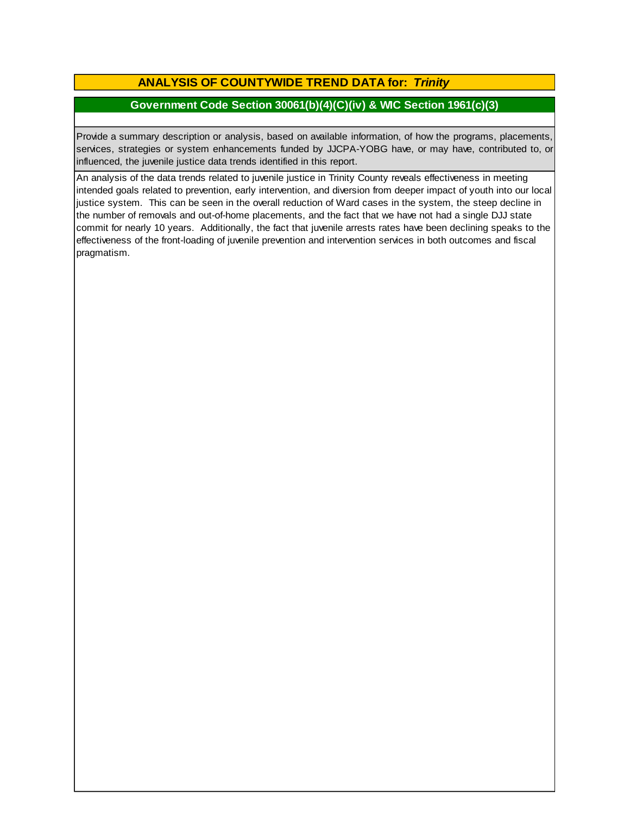# **ANALYSIS OF COUNTYWIDE TREND DATA for:** *Trinity*

### **Government Code Section 30061(b)(4)(C)(iv) & WIC Section 1961(c)(3)**

Provide <sup>a</sup> summary description or analysis, based on available information, of how the programs, placements, services, strategies or system enhancements funded by JJCPA-YOBG have, or may have, contributed to, or influenced, the juvenile justice data trends identified in this report.

An analysis of the data trends related to juvenile justice in Trinity County reveals effectiveness in meeting intended goals related to prevention, early intervention, and diversion from deeper impact of youth into our local justice system. This can be seen in the overall reduction of Ward cases in the system, the steep decline in the number of removals and out-of-home placements, and the fact that we have not had a single DJJ state commit for nearly 10 years. Additionally, the fact that juvenile arrests rates have been declining speaks to the effectiveness of the front-loading of juvenile prevention and intervention services in both outcomes and fiscal pragmatism.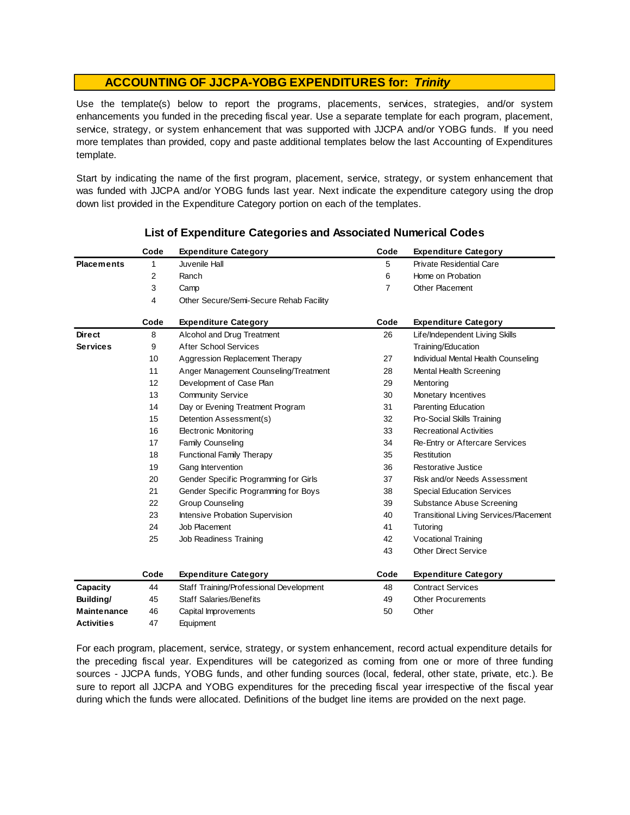Use the template(s) below to report the programs, placements, services, strategies, and/or system enhancements you funded in the preceding fiscal year. Use <sup>a</sup> separate template for each program, placement, service, strategy, or system enhancement that was supported with JJCPA and/or YOBG funds. If you need more templates than provided, copy and paste additional templates below the last Accounting of Expenditures template.

Start by indicating the name of the first program, placement, service, strategy, or system enhancement that was funded with JJCPA and/or YOBG funds last year. Next indicate the expenditure category using the drop down list provided in the Expenditure Category portion on each of the templates.

|                    | Code | <b>Expenditure Category</b>             | Code           | <b>Expenditure Category</b>                   |
|--------------------|------|-----------------------------------------|----------------|-----------------------------------------------|
| <b>Placements</b>  | 1    | Juvenile Hall                           | 5              | <b>Private Residential Care</b>               |
|                    | 2    | Ranch                                   | 6              | Home on Probation                             |
|                    | 3    | Camp                                    | $\overline{7}$ | Other Placement                               |
|                    | 4    | Other Secure/Semi-Secure Rehab Facility |                |                                               |
|                    | Code | <b>Expenditure Category</b>             | Code           | <b>Expenditure Category</b>                   |
| <b>Direct</b>      | 8    | Alcohol and Drug Treatment              | 26             | Life/Independent Living Skills                |
| <b>Services</b>    | 9    | <b>After School Services</b>            |                | Training/Education                            |
|                    | 10   | Aggression Replacement Therapy          | 27             | Individual Mental Health Counseling           |
|                    | 11   | Anger Management Counseling/Treatment   | 28             | Mental Health Screening                       |
|                    | 12   | Development of Case Plan                | 29             | Mentoring                                     |
|                    | 13   | <b>Community Service</b>                | 30             | Monetary Incentives                           |
|                    | 14   | Day or Evening Treatment Program        | 31             | Parenting Education                           |
|                    | 15   | Detention Assessment(s)                 | 32             | Pro-Social Skills Training                    |
|                    | 16   | <b>Electronic Monitoring</b>            | 33             | <b>Recreational Activities</b>                |
|                    | 17   | <b>Family Counseling</b>                | 34             | Re-Entry or Aftercare Services                |
|                    | 18   | <b>Functional Family Therapy</b>        | 35             | Restitution                                   |
|                    | 19   | Gang Intervention                       | 36             | Restorative Justice                           |
|                    | 20   | Gender Specific Programming for Girls   | 37             | Risk and/or Needs Assessment                  |
|                    | 21   | Gender Specific Programming for Boys    | 38             | <b>Special Education Services</b>             |
|                    | 22   | <b>Group Counseling</b>                 | 39             | Substance Abuse Screening                     |
|                    | 23   | Intensive Probation Supervision         | 40             | <b>Transitional Living Services/Placement</b> |
|                    | 24   | Job Placement                           | 41             | Tutoring                                      |
|                    | 25   | Job Readiness Training                  | 42             | Vocational Training                           |
|                    |      |                                         | 43             | <b>Other Direct Service</b>                   |
|                    | Code | <b>Expenditure Category</b>             | Code           | <b>Expenditure Category</b>                   |
| Capacity           | 44   | Staff Training/Professional Development | 48             | <b>Contract Services</b>                      |
| Building/          | 45   | <b>Staff Salaries/Benefits</b>          | 49             | <b>Other Procurements</b>                     |
| <b>Maintenance</b> | 46   | Capital Improvements                    | 50             | Other                                         |
| <b>Activities</b>  | 47   | Equipment                               |                |                                               |

### **List of Expenditure Categories and Associated Numerical Codes**

For each program, placement, service, strategy, or system enhancement, record actual expenditure details for the preceding fiscal year. Expenditures will be categorized as coming from one or more of three funding sources - JJCPA funds, YOBG funds, and other funding sources (local, federal, other state, private, etc.). Be sure to report all JJCPA and YOBG expenditures for the preceding fiscal year irrespective of the fiscal year during which the funds were allocated. Definitions of the budget line items are provided on the next page.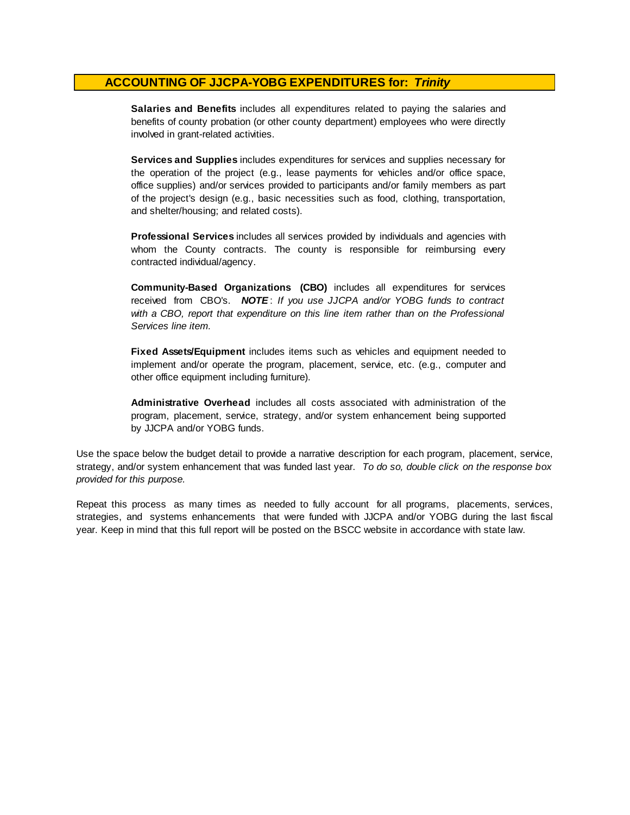**Salaries and Benefits** includes all expenditures related to paying the salaries and benefits of county probation (or other county department) employees who were directly involved in grant-related activities.

**Services and Supplies** includes expenditures for services and supplies necessary for the operation of the project (e.g., lease payments for vehicles and/or office space, office supplies) and/or services provided to participants and/or family members as part of the project's design (e.g., basic necessities such as food, clothing, transportation, and shelter/housing; and related costs).

**Professional Services** includes all services provided by individuals and agencies with whom the County contracts. The county is responsible for reimbursing every contracted individual/agency.

**Community-Based Organizations (CBO)** includes all expenditures for services received from CBO's. *NOTE* : *I f you use JJCPA and/or YOBG funds t o contract with <sup>a</sup> CBO, report that expenditure on this line item rather than on the Professional Services line item.*

**Fixed Assets/Equipment** includes items such as vehicles and equipment needed to implement and/or operate the program, placement, service, etc. (e.g., computer and other office equipment including furniture).

**Administrative Overhead** includes all costs associated with administration of the program, placement, service, strategy, and/or system enhancement being supported by JJCPA and/or YOBG funds.

Use the space below the budget detail to provide a narrative description for each program, placement, service, strategy, and/or system enhancement that was funded last year. *To do so, double click on the response box provided for this purpose.* 

Repeat this process as many times as needed to fully account for all programs, placements, services, strategies, and systems enhancements that were funded with JJCPA and/or YOBG during the last fiscal year. Keep in mind that this full report will be posted on the BSCC website in accordance with state law.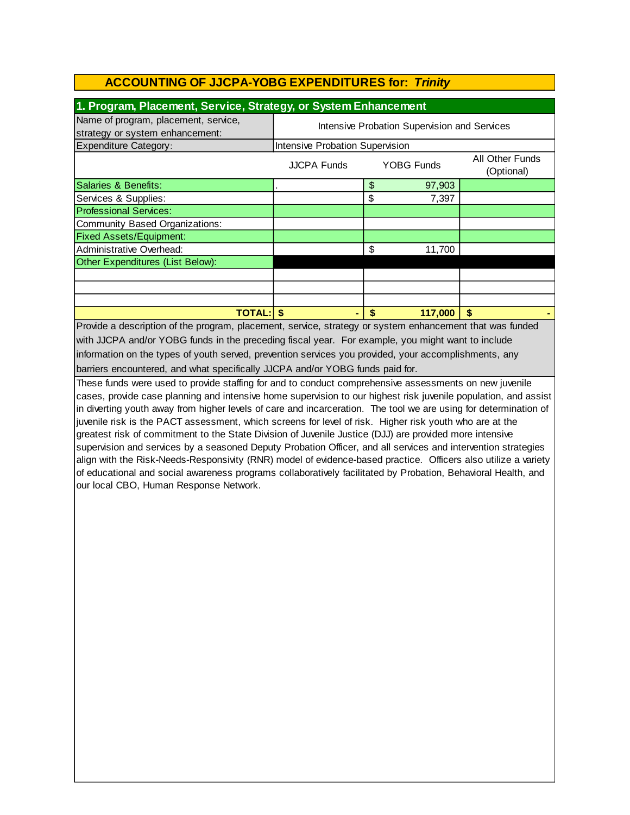| 1. Program, Placement, Service, Strategy, or System Enhancement         |                                                                   |    |        |  |  |
|-------------------------------------------------------------------------|-------------------------------------------------------------------|----|--------|--|--|
| Name of program, placement, service,<br>strategy or system enhancement: | Intensive Probation Supervision and Services                      |    |        |  |  |
| <b>Expenditure Category:</b>                                            | Intensive Probation Supervision                                   |    |        |  |  |
|                                                                         | All Other Funds<br>YOBG Funds<br><b>JJCPA Funds</b><br>(Optional) |    |        |  |  |
| Salaries & Benefits:                                                    |                                                                   | \$ | 97,903 |  |  |
| Services & Supplies:                                                    |                                                                   | \$ | 7,397  |  |  |
| <b>Professional Services:</b>                                           |                                                                   |    |        |  |  |
| Community Based Organizations:                                          |                                                                   |    |        |  |  |
| <b>Fixed Assets/Equipment:</b>                                          |                                                                   |    |        |  |  |
| Administrative Overhead:<br>\$<br>11,700                                |                                                                   |    |        |  |  |
| Other Expenditures (List Below):                                        |                                                                   |    |        |  |  |
|                                                                         |                                                                   |    |        |  |  |
|                                                                         |                                                                   |    |        |  |  |
|                                                                         |                                                                   |    |        |  |  |
| 117,000<br><b>TOTAL:I</b><br>S<br>S<br>S                                |                                                                   |    |        |  |  |

Provide a description of the program, placement, service, strategy or system enhancement that was funded with JJCPA and/or YOBG funds in the preceding fiscal year. For example, you might want to include information on the types of youth served, prevention services you provided, your accomplishments, any barriers encountered, and what specifically JJCPA and/or YOBG funds paid for.

These funds were used to provide staffing for and to conduct comprehensive assessments on new juvenile cases, provide case planning and intensive home supervision to our highest risk juvenile population, and assist in diverting youth away from higher levels of care and incarceration. The tool we are using for determination of juvenile risk is the PACT assessment, which screens for level of risk. Higher risk youth who are at the greatest risk of commitment to the State Division of Juvenile Justice (DJJ) are provided more intensive supervision and services by a seasoned Deputy Probation Officer, and all services and intervention strategies align with the Risk-Needs-Responsivity (RNR) model of evidence-based practice. Officers also utilize a variety of educational and social awareness programs collaboratively facilitated by Probation, Behavioral Health, and our local CBO, Human Response Network.